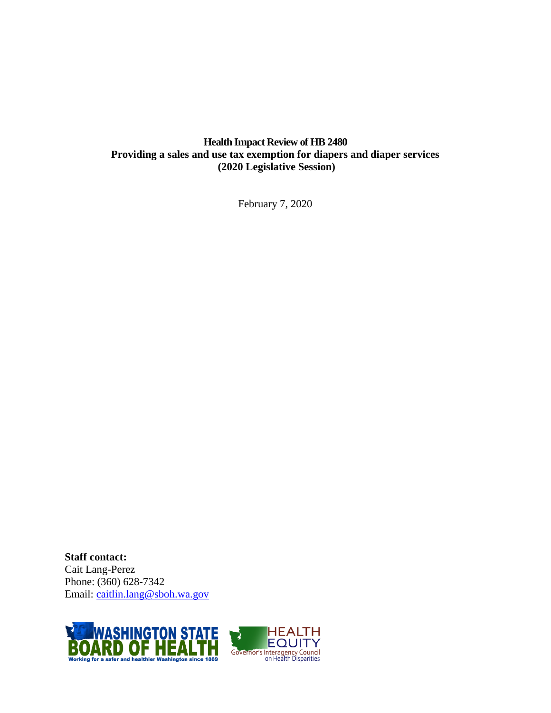## **Health Impact Review of HB 2480 Providing a sales and use tax exemption for diapers and diaper services (2020 Legislative Session)**

February 7, 2020

**Staff contact:** Cait Lang-Perez Phone: (360) 628-7342 Email: [caitlin.lang@sboh.wa.gov](mailto:caitlin.lang@sboh.wa.gov?subject=Health%20Impact%20Review)



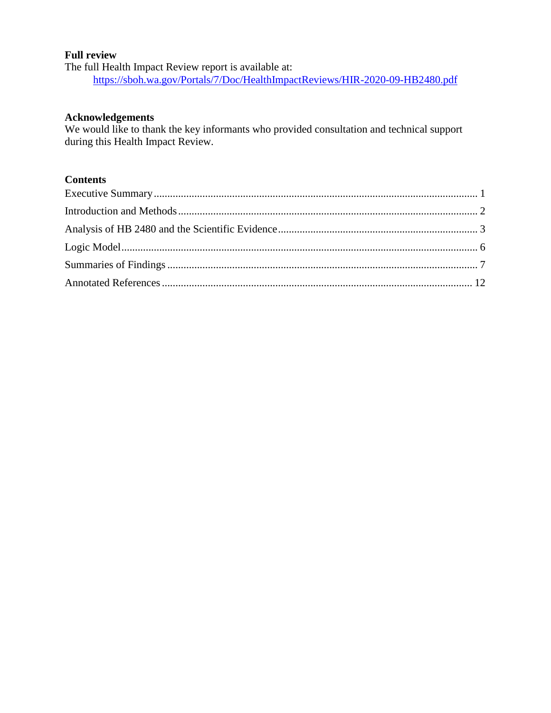#### **Full review**

The full Health Impact Review report is available at: <https://sboh.wa.gov/Portals/7/Doc/HealthImpactReviews/HIR-2020-09-HB2480.pdf>

#### **Acknowledgements**

We would like to thank the key informants who provided consultation and technical support during this Health Impact Review.

## **Contents**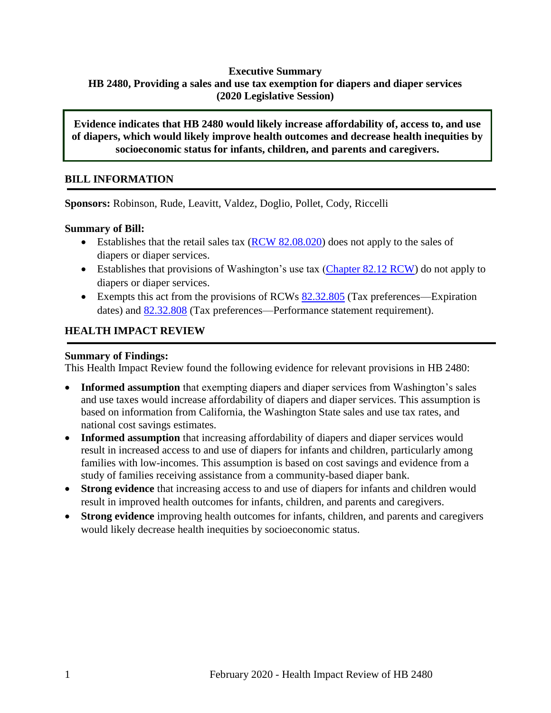## <span id="page-2-0"></span>**Executive Summary HB 2480, Providing a sales and use tax exemption for diapers and diaper services (2020 Legislative Session)**

**Evidence indicates that HB 2480 would likely increase affordability of, access to, and use of diapers, which would likely improve health outcomes and decrease health inequities by socioeconomic status for infants, children, and parents and caregivers.**

## **BILL INFORMATION**

**Sponsors:** Robinson, Rude, Leavitt, Valdez, Doglio, Pollet, Cody, Riccelli

#### **Summary of Bill:**

- Establishes that the retail sales tax  $(RCW 82.08.020)$  does not apply to the sales of diapers or diaper services.
- Establishes that provisions of Washington's use tax [\(Chapter 82.12 RCW\)](https://app.leg.wa.gov/RCW/default.aspx?cite=82.12) do not apply to diapers or diaper services.
- Exempts this act from the provisions of RCWs  $82.32.805$  (Tax preferences—Expiration dates) and [82.32.808](https://app.leg.wa.gov/RCW/default.aspx?cite=82.32.808) (Tax preferences—Performance statement requirement).

## **HEALTH IMPACT REVIEW**

#### **Summary of Findings:**

This Health Impact Review found the following evidence for relevant provisions in HB 2480:

- **Informed assumption** that exempting diapers and diaper services from Washington's sales and use taxes would increase affordability of diapers and diaper services. This assumption is based on information from California, the Washington State sales and use tax rates, and national cost savings estimates.
- **Informed assumption** that increasing affordability of diapers and diaper services would result in increased access to and use of diapers for infants and children, particularly among families with low-incomes. This assumption is based on cost savings and evidence from a study of families receiving assistance from a community-based diaper bank.
- **Strong evidence** that increasing access to and use of diapers for infants and children would result in improved health outcomes for infants, children, and parents and caregivers.
- **Strong evidence** improving health outcomes for infants, children, and parents and caregivers would likely decrease health inequities by socioeconomic status.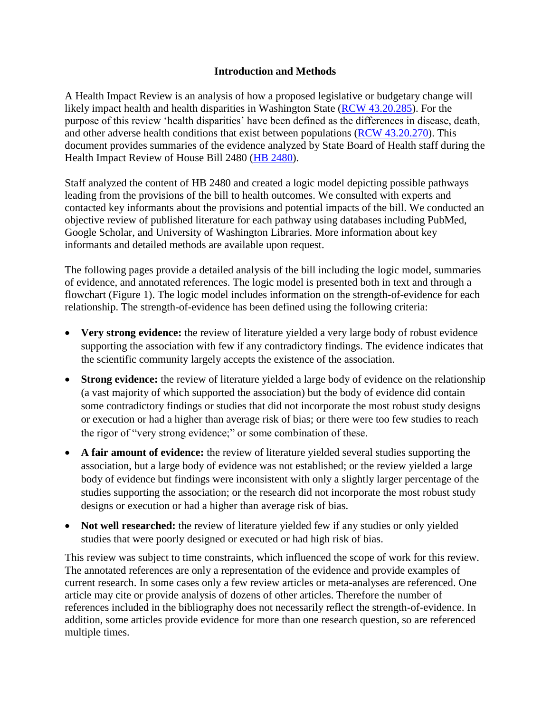#### **Introduction and Methods**

<span id="page-3-0"></span>A Health Impact Review is an analysis of how a proposed legislative or budgetary change will likely impact health and health disparities in Washington State [\(RCW 43.20.285\)](http://apps.leg.wa.gov/rcw/default.aspx?cite=43.20.285). For the purpose of this review 'health disparities' have been defined as the differences in disease, death, and other adverse health conditions that exist between populations [\(RCW 43.20.270\)](http://apps.leg.wa.gov/rcw/default.aspx?cite=43.20.270). This document provides summaries of the evidence analyzed by State Board of Health staff during the Health Impact Review of House Bill 2480 [\(HB 2480\)](https://app.leg.wa.gov/billsummary?BillNumber=2480&Initiative=false&Year=2019).

Staff analyzed the content of HB 2480 and created a logic model depicting possible pathways leading from the provisions of the bill to health outcomes. We consulted with experts and contacted key informants about the provisions and potential impacts of the bill. We conducted an objective review of published literature for each pathway using databases including PubMed, Google Scholar, and University of Washington Libraries. More information about key informants and detailed methods are available upon request.

The following pages provide a detailed analysis of the bill including the logic model, summaries of evidence, and annotated references. The logic model is presented both in text and through a flowchart (Figure 1). The logic model includes information on the strength-of-evidence for each relationship. The strength-of-evidence has been defined using the following criteria:

- **Very strong evidence:** the review of literature yielded a very large body of robust evidence supporting the association with few if any contradictory findings. The evidence indicates that the scientific community largely accepts the existence of the association.
- **Strong evidence:** the review of literature yielded a large body of evidence on the relationship (a vast majority of which supported the association) but the body of evidence did contain some contradictory findings or studies that did not incorporate the most robust study designs or execution or had a higher than average risk of bias; or there were too few studies to reach the rigor of "very strong evidence;" or some combination of these.
- **A fair amount of evidence:** the review of literature yielded several studies supporting the association, but a large body of evidence was not established; or the review yielded a large body of evidence but findings were inconsistent with only a slightly larger percentage of the studies supporting the association; or the research did not incorporate the most robust study designs or execution or had a higher than average risk of bias.
- **Not well researched:** the review of literature yielded few if any studies or only yielded studies that were poorly designed or executed or had high risk of bias.

This review was subject to time constraints, which influenced the scope of work for this review. The annotated references are only a representation of the evidence and provide examples of current research. In some cases only a few review articles or meta-analyses are referenced. One article may cite or provide analysis of dozens of other articles. Therefore the number of references included in the bibliography does not necessarily reflect the strength-of-evidence. In addition, some articles provide evidence for more than one research question, so are referenced multiple times.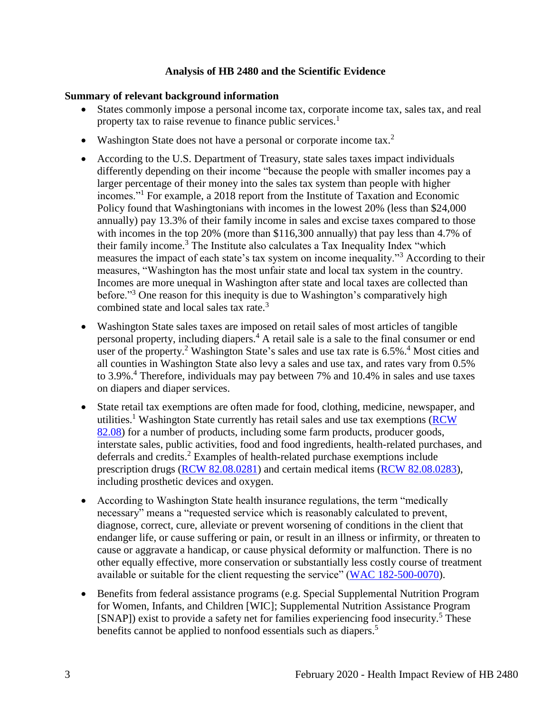#### **Analysis of HB 2480 and the Scientific Evidence**

#### <span id="page-4-0"></span>**Summary of relevant background information**

- States commonly impose a personal income tax, corporate income tax, sales tax, and real property tax to raise revenue to finance public services.<sup>1</sup>
- Washington State does not have a personal or corporate income tax.<sup>2</sup>
- According to the U.S. Department of Treasury, state sales taxes impact individuals differently depending on their income "because the people with smaller incomes pay a larger percentage of their money into the sales tax system than people with higher incomes."<sup>1</sup> For example, a 2018 report from the Institute of Taxation and Economic Policy found that Washingtonians with incomes in the lowest 20% (less than \$24,000 annually) pay 13.3% of their family income in sales and excise taxes compared to those with incomes in the top 20% (more than \$116,300 annually) that pay less than 4.7% of their family income.<sup>3</sup> The Institute also calculates a Tax Inequality Index "which measures the impact of each state's tax system on income inequality."<sup>3</sup> According to their measures, "Washington has the most unfair state and local tax system in the country. Incomes are more unequal in Washington after state and local taxes are collected than before."<sup>3</sup> One reason for this inequity is due to Washington's comparatively high combined state and local sales tax rate.<sup>3</sup>
- Washington State sales taxes are imposed on retail sales of most articles of tangible personal property, including diapers. <sup>4</sup> A retail sale is a sale to the final consumer or end user of the property.<sup>2</sup> Washington State's sales and use tax rate is 6.5%.<sup>4</sup> Most cities and all counties in Washington State also levy a sales and use tax, and rates vary from 0.5% to 3.9%.<sup>4</sup> Therefore, individuals may pay between 7% and 10.4% in sales and use taxes on diapers and diaper services.
- State retail tax exemptions are often made for food, clothing, medicine, newspaper, and utilities.<sup>1</sup> Washington State currently has retail sales and use tax exemptions (RCW) [82.08\)](https://app.leg.wa.gov/RCW/default.aspx?cite=82.08) for a number of products, including some farm products, producer goods, interstate sales, public activities, food and food ingredients, health-related purchases, and deferrals and credits.<sup>2</sup> Examples of health-related purchase exemptions include prescription drugs [\(RCW 82.08.0281\)](https://apps.leg.wa.gov/rcw/default.aspx?cite=82.08.0281) and certain medical items [\(RCW 82.08.0283\)](https://app.leg.wa.gov/RCW/default.aspx?cite=82.08.0283), including prosthetic devices and oxygen.
- According to Washington State health insurance regulations, the term "medically necessary" means a "requested service which is reasonably calculated to prevent, diagnose, correct, cure, alleviate or prevent worsening of conditions in the client that endanger life, or cause suffering or pain, or result in an illness or infirmity, or threaten to cause or aggravate a handicap, or cause physical deformity or malfunction. There is no other equally effective, more conservation or substantially less costly course of treatment available or suitable for the client requesting the service" [\(WAC 182-500-0070\)](https://apps.leg.wa.gov/wac/default.aspx?cite=182-500-0070).
- Benefits from federal assistance programs (e.g. Special Supplemental Nutrition Program for Women, Infants, and Children [WIC]; Supplemental Nutrition Assistance Program [SNAP]) exist to provide a safety net for families experiencing food insecurity.<sup>5</sup> These benefits cannot be applied to nonfood essentials such as diapers.<sup>5</sup>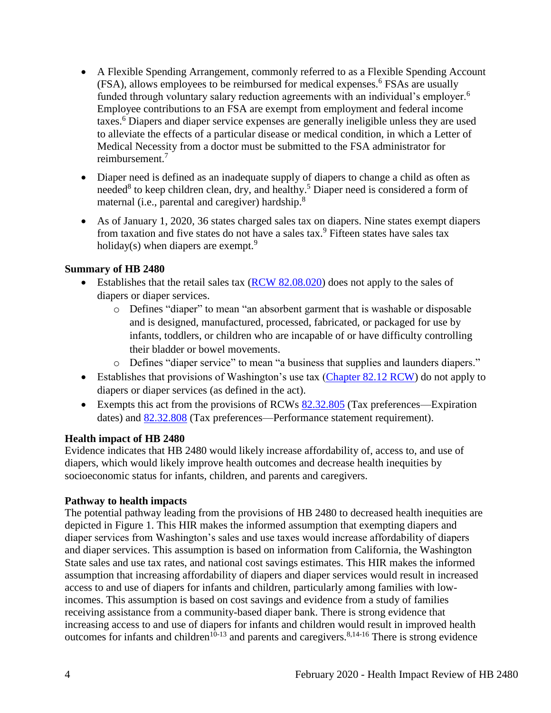- A Flexible Spending Arrangement, commonly referred to as a Flexible Spending Account  $(FSA)$ , allows employees to be reimbursed for medical expenses.<sup>6</sup> FSAs are usually funded through voluntary salary reduction agreements with an individual's employer.<sup>6</sup> Employee contributions to an FSA are exempt from employment and federal income taxes.<sup>6</sup> Diapers and diaper service expenses are generally ineligible unless they are used to alleviate the effects of a particular disease or medical condition, in which a Letter of Medical Necessity from a doctor must be submitted to the FSA administrator for reimbursement. 7
- Diaper need is defined as an inadequate supply of diapers to change a child as often as needed<sup>8</sup> to keep children clean, dry, and healthy.<sup>5</sup> Diaper need is considered a form of maternal (i.e., parental and caregiver) hardship.<sup>8</sup>
- As of January 1, 2020, 36 states charged sales tax on diapers. Nine states exempt diapers from taxation and five states do not have a sales tax.<sup>9</sup> Fifteen states have sales tax holiday(s) when diapers are exempt.<sup>9</sup>

## **Summary of HB 2480**

- Establishes that the retail sales tax  $(RCW 82.08.020)$  does not apply to the sales of diapers or diaper services.
	- o Defines "diaper" to mean "an absorbent garment that is washable or disposable and is designed, manufactured, processed, fabricated, or packaged for use by infants, toddlers, or children who are incapable of or have difficulty controlling their bladder or bowel movements.
	- o Defines "diaper service" to mean "a business that supplies and launders diapers."
- Establishes that provisions of Washington's use tax [\(Chapter 82.12 RCW\)](https://app.leg.wa.gov/RCW/default.aspx?cite=82.12) do not apply to diapers or diaper services (as defined in the act).
- Exempts this act from the provisions of RCWs [82.32.805](https://app.leg.wa.gov/RCW/default.aspx?cite=82.32.805) (Tax preferences—Expiration dates) and [82.32.808](https://app.leg.wa.gov/RCW/default.aspx?cite=82.32.808) (Tax preferences—Performance statement requirement).

#### **Health impact of HB 2480**

Evidence indicates that HB 2480 would likely increase affordability of, access to, and use of diapers, which would likely improve health outcomes and decrease health inequities by socioeconomic status for infants, children, and parents and caregivers.

## **Pathway to health impacts**

The potential pathway leading from the provisions of HB 2480 to decreased health inequities are depicted in Figure 1. This HIR makes the informed assumption that exempting diapers and diaper services from Washington's sales and use taxes would increase affordability of diapers and diaper services. This assumption is based on information from California, the Washington State sales and use tax rates, and national cost savings estimates. This HIR makes the informed assumption that increasing affordability of diapers and diaper services would result in increased access to and use of diapers for infants and children, particularly among families with lowincomes. This assumption is based on cost savings and evidence from a study of families receiving assistance from a community-based diaper bank. There is strong evidence that increasing access to and use of diapers for infants and children would result in improved health outcomes for infants and children<sup>10-13</sup> and parents and caregivers.<sup>8,14-16</sup> There is strong evidence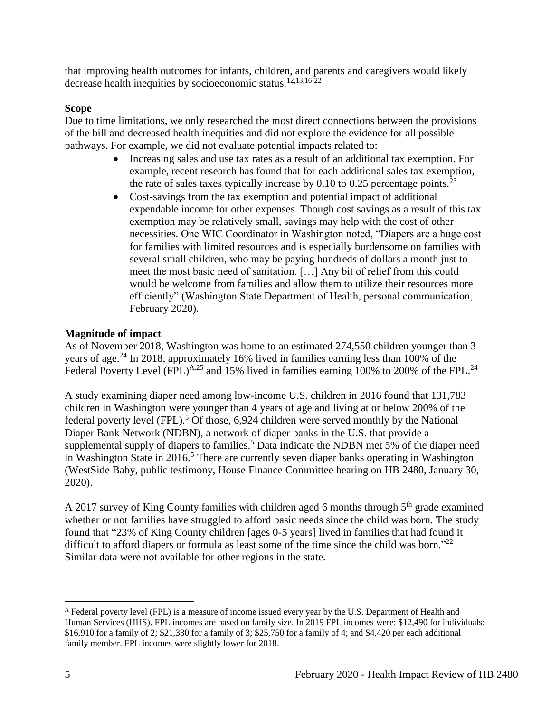that improving health outcomes for infants, children, and parents and caregivers would likely decrease health inequities by socioeconomic status.<sup>12,13,16-22</sup>

## **Scope**

Due to time limitations, we only researched the most direct connections between the provisions of the bill and decreased health inequities and did not explore the evidence for all possible pathways. For example, we did not evaluate potential impacts related to:

- Increasing sales and use tax rates as a result of an additional tax exemption. For example, recent research has found that for each additional sales tax exemption, the rate of sales taxes typically increase by 0.10 to 0.25 percentage points.<sup>23</sup>
- Cost-savings from the tax exemption and potential impact of additional expendable income for other expenses. Though cost savings as a result of this tax exemption may be relatively small, savings may help with the cost of other necessities. One WIC Coordinator in Washington noted, "Diapers are a huge cost for families with limited resources and is especially burdensome on families with several small children, who may be paying hundreds of dollars a month just to meet the most basic need of sanitation. […] Any bit of relief from this could would be welcome from families and allow them to utilize their resources more efficiently" (Washington State Department of Health, personal communication, February 2020).

## **Magnitude of impact**

As of November 2018, Washington was home to an estimated 274,550 children younger than 3 years of age.<sup>24</sup> In 2018, approximately 16% lived in families earning less than 100% of the Federal Poverty Level  $(FPL)^{A,25}$  and 15% lived in families earning 100% to 200% of the FPL.<sup>24</sup>

A study examining diaper need among low-income U.S. children in 2016 found that 131,783 children in Washington were younger than 4 years of age and living at or below 200% of the federal poverty level (FPL).<sup>5</sup> Of those, 6,924 children were served monthly by the National Diaper Bank Network (NDBN), a network of diaper banks in the U.S. that provide a supplemental supply of diapers to families.<sup>5</sup> Data indicate the NDBN met 5% of the diaper need in Washington State in  $2016<sup>5</sup>$ . There are currently seven diaper banks operating in Washington (WestSide Baby, public testimony, House Finance Committee hearing on HB 2480, January 30, 2020).

A 2017 survey of King County families with children aged 6 months through  $5<sup>th</sup>$  grade examined whether or not families have struggled to afford basic needs since the child was born. The study found that "23% of King County children [ages 0-5 years] lived in families that had found it difficult to afford diapers or formula as least some of the time since the child was born."<sup>22</sup> Similar data were not available for other regions in the state.

 $\overline{a}$ 

<sup>&</sup>lt;sup>A</sup> Federal poverty level (FPL) is a measure of income issued every year by the U.S. Department of Health and Human Services (HHS). FPL incomes are based on family size. In 2019 FPL incomes were: \$12,490 for individuals; \$16,910 for a family of 2; \$21,330 for a family of 3; \$25,750 for a family of 4; and \$4,420 per each additional family member. FPL incomes were slightly lower for 2018.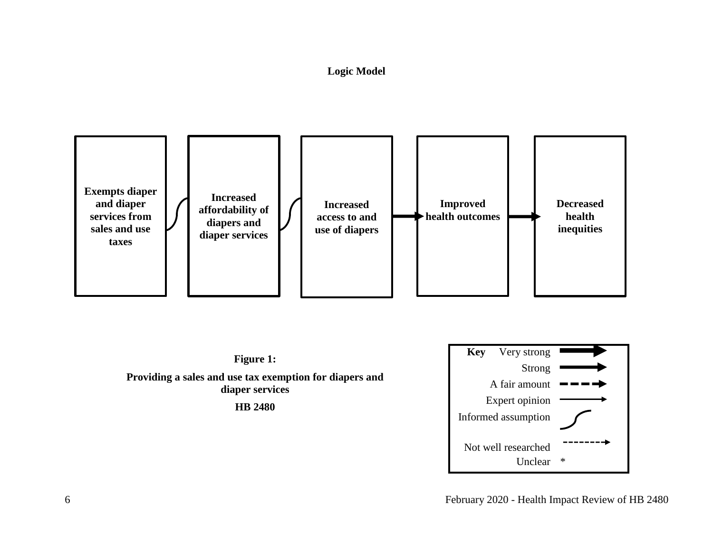## **Logic Model**

<span id="page-7-0"></span>





6 February 2020 - Health Impact Review of HB 2480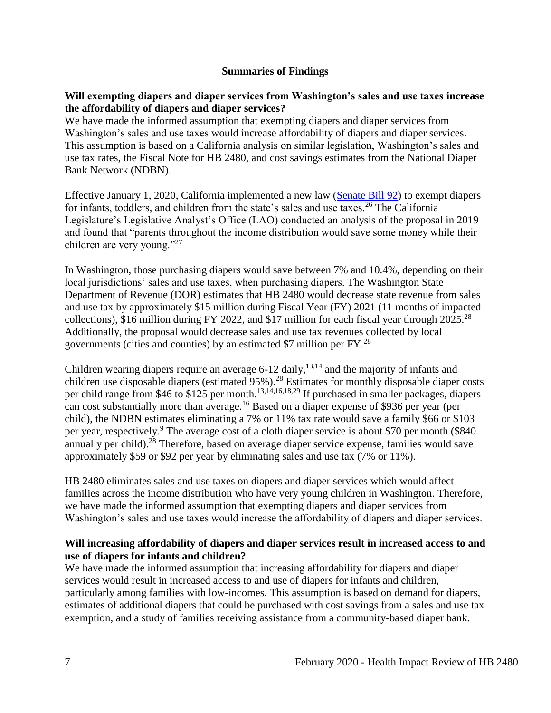#### **Summaries of Findings**

#### <span id="page-8-0"></span>**Will exempting diapers and diaper services from Washington's sales and use taxes increase the affordability of diapers and diaper services?**

We have made the informed assumption that exempting diapers and diaper services from Washington's sales and use taxes would increase affordability of diapers and diaper services. This assumption is based on a California analysis on similar legislation, Washington's sales and use tax rates, the Fiscal Note for HB 2480, and cost savings estimates from the National Diaper Bank Network (NDBN).

Effective January 1, 2020, California implemented a new law [\(Senate Bill 92\)](https://leginfo.legislature.ca.gov/faces/billTextClient.xhtml?bill_id=201920200SB92) to exempt diapers for infants, toddlers, and children from the state's sales and use taxes.<sup>26</sup> The California Legislature's Legislative Analyst's Office (LAO) conducted an analysis of the proposal in 2019 and found that "parents throughout the income distribution would save some money while their children are very young."<sup>27</sup>

In Washington, those purchasing diapers would save between 7% and 10.4%, depending on their local jurisdictions' sales and use taxes, when purchasing diapers. The Washington State Department of Revenue (DOR) estimates that HB 2480 would decrease state revenue from sales and use tax by approximately \$15 million during Fiscal Year (FY) 2021 (11 months of impacted collections), \$16 million during FY 2022, and \$17 million for each fiscal year through  $2025.^{28}$ Additionally, the proposal would decrease sales and use tax revenues collected by local governments (cities and counties) by an estimated \$7 million per  $FY^{28}$ .

Children wearing diapers require an average  $6-12$  daily,  $13,14$  and the majority of infants and children use disposable diapers (estimated 95%).<sup>28</sup> Estimates for monthly disposable diaper costs per child range from \$46 to \$125 per month.<sup>13,14,16,18,29</sup> If purchased in smaller packages, diapers can cost substantially more than average.<sup>16</sup> Based on a diaper expense of \$936 per year (per child), the NDBN estimates eliminating a 7% or 11% tax rate would save a family \$66 or \$103 per year, respectively.<sup>9</sup> The average cost of a cloth diaper service is about \$70 per month (\$840) annually per child).<sup>28</sup> Therefore, based on average diaper service expense, families would save approximately \$59 or \$92 per year by eliminating sales and use tax (7% or 11%).

HB 2480 eliminates sales and use taxes on diapers and diaper services which would affect families across the income distribution who have very young children in Washington. Therefore, we have made the informed assumption that exempting diapers and diaper services from Washington's sales and use taxes would increase the affordability of diapers and diaper services.

## **Will increasing affordability of diapers and diaper services result in increased access to and use of diapers for infants and children?**

We have made the informed assumption that increasing affordability for diapers and diaper services would result in increased access to and use of diapers for infants and children, particularly among families with low-incomes. This assumption is based on demand for diapers, estimates of additional diapers that could be purchased with cost savings from a sales and use tax exemption, and a study of families receiving assistance from a community-based diaper bank.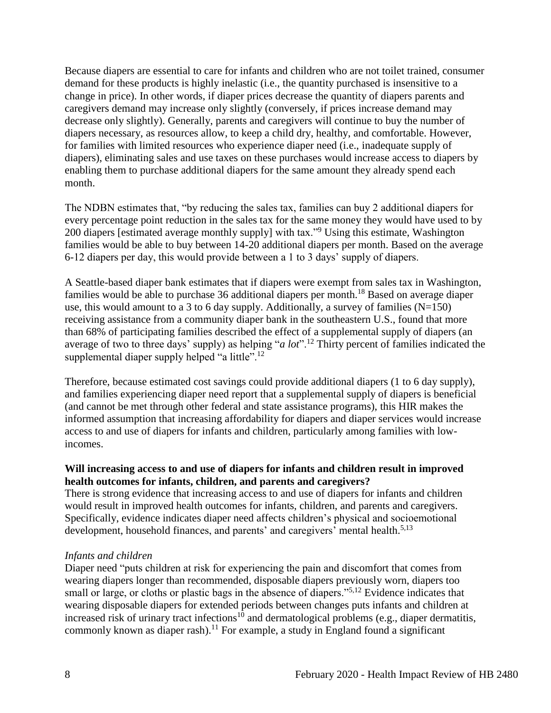Because diapers are essential to care for infants and children who are not toilet trained, consumer demand for these products is highly inelastic (i.e., the quantity purchased is insensitive to a change in price). In other words, if diaper prices decrease the quantity of diapers parents and caregivers demand may increase only slightly (conversely, if prices increase demand may decrease only slightly). Generally, parents and caregivers will continue to buy the number of diapers necessary, as resources allow, to keep a child dry, healthy, and comfortable. However, for families with limited resources who experience diaper need (i.e., inadequate supply of diapers), eliminating sales and use taxes on these purchases would increase access to diapers by enabling them to purchase additional diapers for the same amount they already spend each month.

The NDBN estimates that, "by reducing the sales tax, families can buy 2 additional diapers for every percentage point reduction in the sales tax for the same money they would have used to by 200 diapers [estimated average monthly supply] with tax."<sup>9</sup> Using this estimate, Washington families would be able to buy between 14-20 additional diapers per month. Based on the average 6-12 diapers per day, this would provide between a 1 to 3 days' supply of diapers.

A Seattle-based diaper bank estimates that if diapers were exempt from sales tax in Washington, families would be able to purchase 36 additional diapers per month.<sup>18</sup> Based on average diaper use, this would amount to a 3 to 6 day supply. Additionally, a survey of families  $(N=150)$ receiving assistance from a community diaper bank in the southeastern U.S., found that more than 68% of participating families described the effect of a supplemental supply of diapers (an average of two to three days' supply) as helping "*a lot*".<sup>12</sup> Thirty percent of families indicated the supplemental diaper supply helped "a little".<sup>12</sup>

Therefore, because estimated cost savings could provide additional diapers (1 to 6 day supply), and families experiencing diaper need report that a supplemental supply of diapers is beneficial (and cannot be met through other federal and state assistance programs), this HIR makes the informed assumption that increasing affordability for diapers and diaper services would increase access to and use of diapers for infants and children, particularly among families with lowincomes.

#### **Will increasing access to and use of diapers for infants and children result in improved health outcomes for infants, children, and parents and caregivers?**

There is strong evidence that increasing access to and use of diapers for infants and children would result in improved health outcomes for infants, children, and parents and caregivers. Specifically, evidence indicates diaper need affects children's physical and socioemotional development, household finances, and parents' and caregivers' mental health.<sup>5,13</sup>

## *Infants and children*

Diaper need "puts children at risk for experiencing the pain and discomfort that comes from wearing diapers longer than recommended, disposable diapers previously worn, diapers too small or large, or cloths or plastic bags in the absence of diapers."<sup>5,12</sup> Evidence indicates that wearing disposable diapers for extended periods between changes puts infants and children at increased risk of urinary tract infections<sup>10</sup> and dermatological problems (e.g., diaper dermatitis, commonly known as diaper rash).<sup>11</sup> For example, a study in England found a significant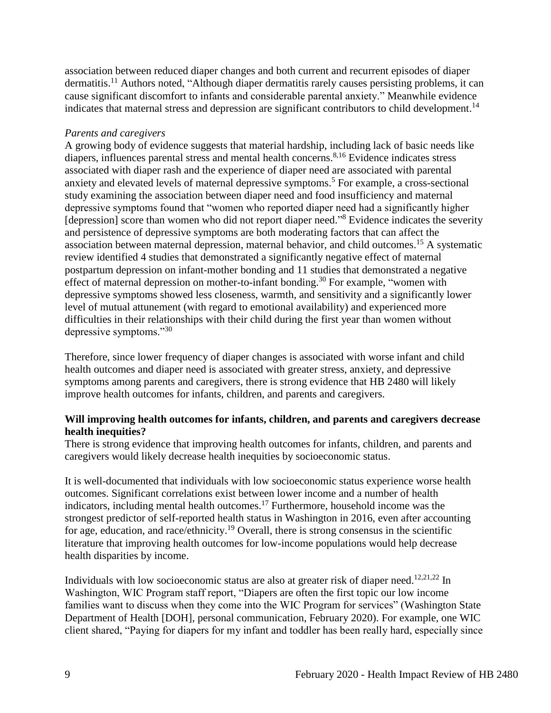association between reduced diaper changes and both current and recurrent episodes of diaper dermatitis.<sup>11</sup> Authors noted, "Although diaper dermatitis rarely causes persisting problems, it can cause significant discomfort to infants and considerable parental anxiety." Meanwhile evidence indicates that maternal stress and depression are significant contributors to child development.<sup>14</sup>

#### *Parents and caregivers*

A growing body of evidence suggests that material hardship, including lack of basic needs like diapers, influences parental stress and mental health concerns. 8,16 Evidence indicates stress associated with diaper rash and the experience of diaper need are associated with parental anxiety and elevated levels of maternal depressive symptoms.<sup>5</sup> For example, a cross-sectional study examining the association between diaper need and food insufficiency and maternal depressive symptoms found that "women who reported diaper need had a significantly higher [depression] score than women who did not report diaper need."<sup>8</sup> Evidence indicates the severity and persistence of depressive symptoms are both moderating factors that can affect the association between maternal depression, maternal behavior, and child outcomes.<sup>15</sup> A systematic review identified 4 studies that demonstrated a significantly negative effect of maternal postpartum depression on infant-mother bonding and 11 studies that demonstrated a negative effect of maternal depression on mother-to-infant bonding.<sup>30</sup> For example, "women with depressive symptoms showed less closeness, warmth, and sensitivity and a significantly lower level of mutual attunement (with regard to emotional availability) and experienced more difficulties in their relationships with their child during the first year than women without depressive symptoms."<sup>30</sup>

Therefore, since lower frequency of diaper changes is associated with worse infant and child health outcomes and diaper need is associated with greater stress, anxiety, and depressive symptoms among parents and caregivers, there is strong evidence that HB 2480 will likely improve health outcomes for infants, children, and parents and caregivers.

#### **Will improving health outcomes for infants, children, and parents and caregivers decrease health inequities?**

There is strong evidence that improving health outcomes for infants, children, and parents and caregivers would likely decrease health inequities by socioeconomic status.

It is well-documented that individuals with low socioeconomic status experience worse health outcomes. Significant correlations exist between lower income and a number of health indicators, including mental health outcomes. <sup>17</sup> Furthermore, household income was the strongest predictor of self-reported health status in Washington in 2016, even after accounting for age, education, and race/ethnicity.<sup>19</sup> Overall, there is strong consensus in the scientific literature that improving health outcomes for low-income populations would help decrease health disparities by income.

Individuals with low socioeconomic status are also at greater risk of diaper need.<sup>12,21,22</sup> In Washington, WIC Program staff report, "Diapers are often the first topic our low income families want to discuss when they come into the WIC Program for services" (Washington State Department of Health [DOH], personal communication, February 2020). For example, one WIC client shared, "Paying for diapers for my infant and toddler has been really hard, especially since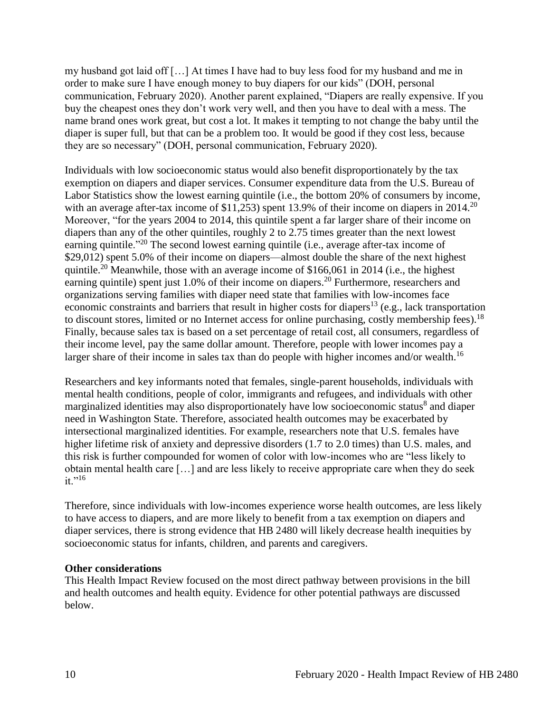my husband got laid off […] At times I have had to buy less food for my husband and me in order to make sure I have enough money to buy diapers for our kids" (DOH, personal communication, February 2020). Another parent explained, "Diapers are really expensive. If you buy the cheapest ones they don't work very well, and then you have to deal with a mess. The name brand ones work great, but cost a lot. It makes it tempting to not change the baby until the diaper is super full, but that can be a problem too. It would be good if they cost less, because they are so necessary" (DOH, personal communication, February 2020).

Individuals with low socioeconomic status would also benefit disproportionately by the tax exemption on diapers and diaper services. Consumer expenditure data from the U.S. Bureau of Labor Statistics show the lowest earning quintile (i.e., the bottom 20% of consumers by income, with an average after-tax income of  $$11,253$ ) spent 13.9% of their income on diapers in 2014.<sup>20</sup> Moreover, "for the years 2004 to 2014, this quintile spent a far larger share of their income on diapers than any of the other quintiles, roughly 2 to 2.75 times greater than the next lowest earning quintile."<sup>20</sup> The second lowest earning quintile (i.e., average after-tax income of \$29,012) spent 5.0% of their income on diapers—almost double the share of the next highest quintile.<sup>20</sup> Meanwhile, those with an average income of \$166,061 in 2014 (i.e., the highest earning quintile) spent just 1.0% of their income on diapers.<sup>20</sup> Furthermore, researchers and organizations serving families with diaper need state that families with low-incomes face economic constraints and barriers that result in higher costs for diapers<sup>13</sup> (e.g., lack transportation to discount stores, limited or no Internet access for online purchasing, costly membership fees).<sup>18</sup> Finally, because sales tax is based on a set percentage of retail cost, all consumers, regardless of their income level, pay the same dollar amount. Therefore, people with lower incomes pay a larger share of their income in sales tax than do people with higher incomes and/or wealth.<sup>16</sup>

Researchers and key informants noted that females, single-parent households, individuals with mental health conditions, people of color, immigrants and refugees, and individuals with other marginalized identities may also disproportionately have low socioeconomic status<sup>8</sup> and diaper need in Washington State. Therefore, associated health outcomes may be exacerbated by intersectional marginalized identities. For example, researchers note that U.S. females have higher lifetime risk of anxiety and depressive disorders (1.7 to 2.0 times) than U.S. males, and this risk is further compounded for women of color with low-incomes who are "less likely to obtain mental health care […] and are less likely to receive appropriate care when they do seek it."<sup>16</sup>

Therefore, since individuals with low-incomes experience worse health outcomes, are less likely to have access to diapers, and are more likely to benefit from a tax exemption on diapers and diaper services, there is strong evidence that HB 2480 will likely decrease health inequities by socioeconomic status for infants, children, and parents and caregivers.

#### **Other considerations**

This Health Impact Review focused on the most direct pathway between provisions in the bill and health outcomes and health equity. Evidence for other potential pathways are discussed below.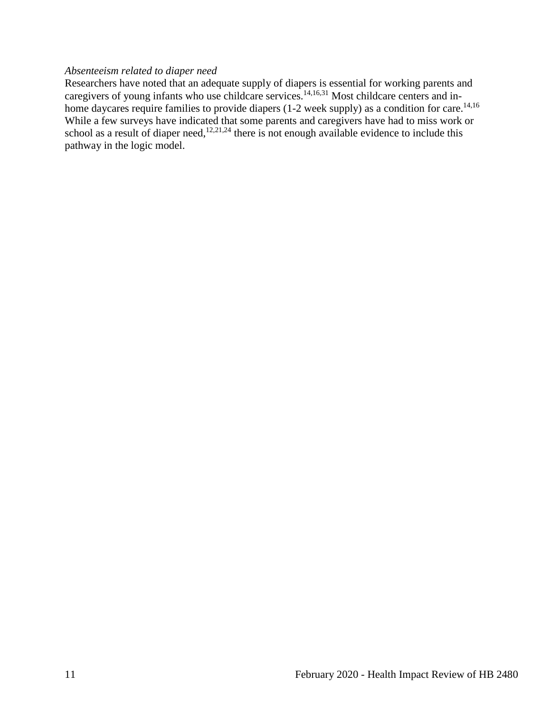# *Absenteeism related to diaper need*

Researchers have noted that an adequate supply of diapers is essential for working parents and caregivers of young infants who use childcare services.<sup>14,16,31</sup> Most childcare centers and inhome daycares require families to provide diapers (1-2 week supply) as a condition for care.<sup>14,16</sup> While a few surveys have indicated that some parents and caregivers have had to miss work or school as a result of diaper need,<sup>12,21,24</sup> there is not enough available evidence to include this pathway in the logic model.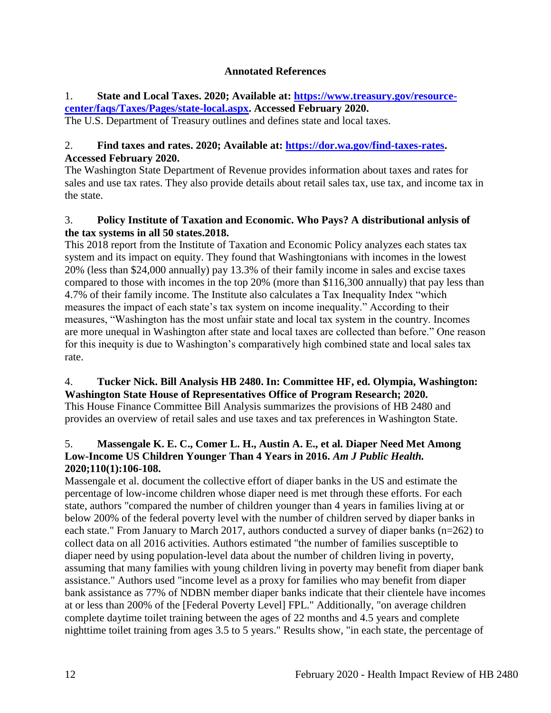## **Annotated References**

## <span id="page-13-0"></span>1. **State and Local Taxes. 2020; Available at: [https://www.treasury.gov/resource](https://www.treasury.gov/resource-center/faqs/Taxes/Pages/state-local.aspx)[center/faqs/Taxes/Pages/state-local.aspx.](https://www.treasury.gov/resource-center/faqs/Taxes/Pages/state-local.aspx) Accessed February 2020.**

The U.S. Department of Treasury outlines and defines state and local taxes.

# 2. **Find taxes and rates. 2020; Available at: [https://dor.wa.gov/find-taxes-rates.](https://dor.wa.gov/find-taxes-rates) Accessed February 2020.**

The Washington State Department of Revenue provides information about taxes and rates for sales and use tax rates. They also provide details about retail sales tax, use tax, and income tax in the state.

## 3. **Policy Institute of Taxation and Economic. Who Pays? A distributional anlysis of the tax systems in all 50 states.2018.**

This 2018 report from the Institute of Taxation and Economic Policy analyzes each states tax system and its impact on equity. They found that Washingtonians with incomes in the lowest 20% (less than \$24,000 annually) pay 13.3% of their family income in sales and excise taxes compared to those with incomes in the top 20% (more than \$116,300 annually) that pay less than 4.7% of their family income. The Institute also calculates a Tax Inequality Index "which measures the impact of each state's tax system on income inequality." According to their measures, "Washington has the most unfair state and local tax system in the country. Incomes are more unequal in Washington after state and local taxes are collected than before." One reason for this inequity is due to Washington's comparatively high combined state and local sales tax rate.

# 4. **Tucker Nick. Bill Analysis HB 2480. In: Committee HF, ed. Olympia, Washington: Washington State House of Representatives Office of Program Research; 2020.**

This House Finance Committee Bill Analysis summarizes the provisions of HB 2480 and provides an overview of retail sales and use taxes and tax preferences in Washington State.

## 5. **Massengale K. E. C., Comer L. H., Austin A. E., et al. Diaper Need Met Among**  Low-Income US Children Younger Than 4 Years in 2016. Am J Public Health. **2020;110(1):106-108.**

Massengale et al. document the collective effort of diaper banks in the US and estimate the percentage of low-income children whose diaper need is met through these efforts. For each state, authors "compared the number of children younger than 4 years in families living at or below 200% of the federal poverty level with the number of children served by diaper banks in each state." From January to March 2017, authors conducted a survey of diaper banks (n=262) to collect data on all 2016 activities. Authors estimated "the number of families susceptible to diaper need by using population-level data about the number of children living in poverty, assuming that many families with young children living in poverty may benefit from diaper bank assistance." Authors used "income level as a proxy for families who may benefit from diaper bank assistance as 77% of NDBN member diaper banks indicate that their clientele have incomes at or less than 200% of the [Federal Poverty Level] FPL." Additionally, "on average children complete daytime toilet training between the ages of 22 months and 4.5 years and complete nighttime toilet training from ages 3.5 to 5 years." Results show, "in each state, the percentage of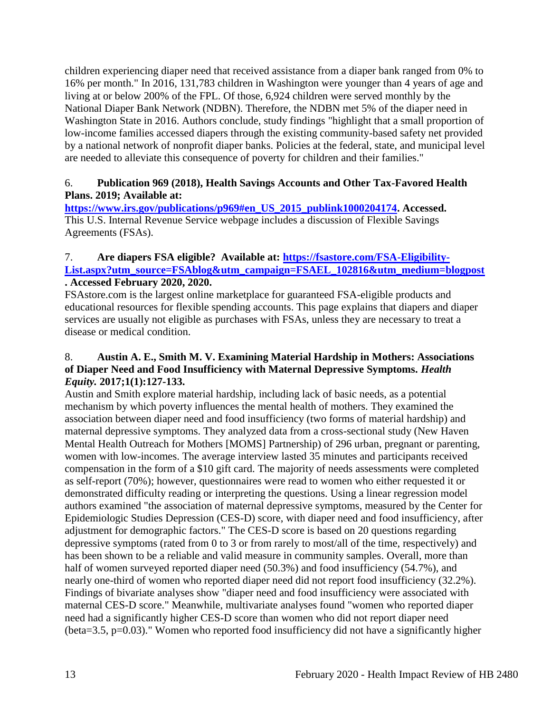children experiencing diaper need that received assistance from a diaper bank ranged from 0% to 16% per month." In 2016, 131,783 children in Washington were younger than 4 years of age and living at or below 200% of the FPL. Of those, 6,924 children were served monthly by the National Diaper Bank Network (NDBN). Therefore, the NDBN met 5% of the diaper need in Washington State in 2016. Authors conclude, study findings "highlight that a small proportion of low-income families accessed diapers through the existing community-based safety net provided by a national network of nonprofit diaper banks. Policies at the federal, state, and municipal level are needed to alleviate this consequence of poverty for children and their families."

## 6. **Publication 969 (2018), Health Savings Accounts and Other Tax-Favored Health Plans. 2019; Available at:**

**[https://www.irs.gov/publications/p969#en\\_US\\_2015\\_publink1000204174.](https://www.irs.gov/publications/p969#en_US_2015_publink1000204174) Accessed.** This U.S. Internal Revenue Service webpage includes a discussion of Flexible Savings Agreements (FSAs).

#### 7. **Are diapers FSA eligible? Available at: [https://fsastore.com/FSA-Eligibility-](https://fsastore.com/FSA-Eligibility-List.aspx?utm_source=FSAblog&utm_campaign=FSAEL_102816&utm_medium=blogpost)**[List.aspx?utm\\_source=FSAblog&utm\\_campaign=FSAEL\\_102816&utm\\_medium=blogpost](https://fsastore.com/FSA-Eligibility-List.aspx?utm_source=FSAblog&utm_campaign=FSAEL_102816&utm_medium=blogpost) **. Accessed February 2020, 2020.**

FSAstore.com is the largest online marketplace for guaranteed FSA-eligible products and educational resources for flexible spending accounts. This page explains that diapers and diaper services are usually not eligible as purchases with FSAs, unless they are necessary to treat a disease or medical condition.

## 8. **Austin A. E., Smith M. V. Examining Material Hardship in Mothers: Associations of Diaper Need and Food Insufficiency with Maternal Depressive Symptoms.** *Health Equity.* **2017;1(1):127-133.**

Austin and Smith explore material hardship, including lack of basic needs, as a potential mechanism by which poverty influences the mental health of mothers. They examined the association between diaper need and food insufficiency (two forms of material hardship) and maternal depressive symptoms. They analyzed data from a cross-sectional study (New Haven Mental Health Outreach for Mothers [MOMS] Partnership) of 296 urban, pregnant or parenting, women with low-incomes. The average interview lasted 35 minutes and participants received compensation in the form of a \$10 gift card. The majority of needs assessments were completed as self-report (70%); however, questionnaires were read to women who either requested it or demonstrated difficulty reading or interpreting the questions. Using a linear regression model authors examined "the association of maternal depressive symptoms, measured by the Center for Epidemiologic Studies Depression (CES-D) score, with diaper need and food insufficiency, after adjustment for demographic factors." The CES-D score is based on 20 questions regarding depressive symptoms (rated from 0 to 3 or from rarely to most/all of the time, respectively) and has been shown to be a reliable and valid measure in community samples. Overall, more than half of women surveyed reported diaper need (50.3%) and food insufficiency (54.7%), and nearly one-third of women who reported diaper need did not report food insufficiency (32.2%). Findings of bivariate analyses show "diaper need and food insufficiency were associated with maternal CES-D score." Meanwhile, multivariate analyses found "women who reported diaper need had a significantly higher CES-D score than women who did not report diaper need (beta=3.5, p=0.03)." Women who reported food insufficiency did not have a significantly higher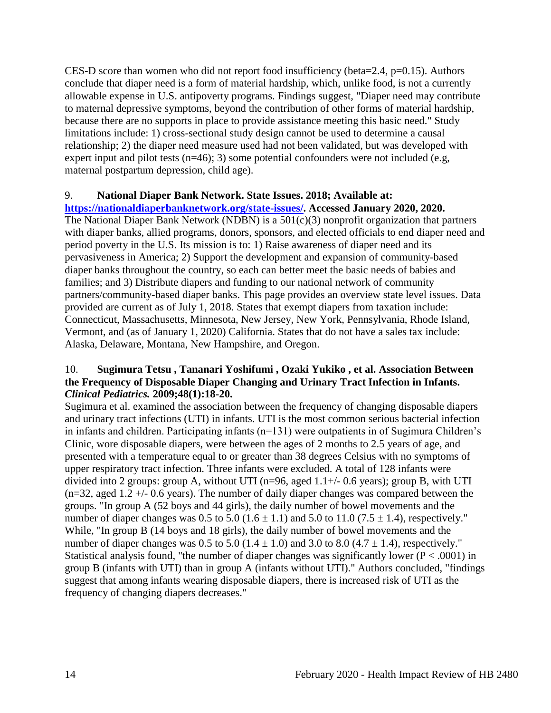CES-D score than women who did not report food insufficiency (beta=2.4,  $p=0.15$ ). Authors conclude that diaper need is a form of material hardship, which, unlike food, is not a currently allowable expense in U.S. antipoverty programs. Findings suggest, "Diaper need may contribute to maternal depressive symptoms, beyond the contribution of other forms of material hardship, because there are no supports in place to provide assistance meeting this basic need." Study limitations include: 1) cross-sectional study design cannot be used to determine a causal relationship; 2) the diaper need measure used had not been validated, but was developed with expert input and pilot tests (n=46); 3) some potential confounders were not included (e.g, maternal postpartum depression, child age).

## 9. **National Diaper Bank Network. State Issues. 2018; Available at:**

**[https://nationaldiaperbanknetwork.org/state-issues/.](https://nationaldiaperbanknetwork.org/state-issues/) Accessed January 2020, 2020.** The National Diaper Bank Network (NDBN) is a  $501(c)(3)$  nonprofit organization that partners with diaper banks, allied programs, donors, sponsors, and elected officials to end diaper need and period poverty in the U.S. Its mission is to: 1) Raise awareness of diaper need and its pervasiveness in America; 2) Support the development and expansion of community-based diaper banks throughout the country, so each can better meet the basic needs of babies and families; and 3) Distribute diapers and funding to our national network of community partners/community-based diaper banks. This page provides an overview state level issues. Data provided are current as of July 1, 2018. States that exempt diapers from taxation include: Connecticut, Massachusetts, Minnesota, New Jersey, New York, Pennsylvania, Rhode Island, Vermont, and (as of January 1, 2020) California. States that do not have a sales tax include: Alaska, Delaware, Montana, New Hampshire, and Oregon.

#### 10. **Sugimura Tetsu , Tananari Yoshifumi , Ozaki Yukiko , et al. Association Between the Frequency of Disposable Diaper Changing and Urinary Tract Infection in Infants.**  *Clinical Pediatrics.* **2009;48(1):18-20.**

Sugimura et al. examined the association between the frequency of changing disposable diapers and urinary tract infections (UTI) in infants. UTI is the most common serious bacterial infection in infants and children. Participating infants (n=131) were outpatients in of Sugimura Children's Clinic, wore disposable diapers, were between the ages of 2 months to 2.5 years of age, and presented with a temperature equal to or greater than 38 degrees Celsius with no symptoms of upper respiratory tract infection. Three infants were excluded. A total of 128 infants were divided into 2 groups: group A, without UTI ( $n=96$ , aged  $1.1+/$ - 0.6 years); group B, with UTI  $(n=32, \text{ aged } 1.2 + (-0.6 \text{ years})$ . The number of daily diaper changes was compared between the groups. "In group A (52 boys and 44 girls), the daily number of bowel movements and the number of diaper changes was  $0.5$  to  $5.0$   $(1.6 \pm 1.1)$  and  $5.0$  to  $11.0$   $(7.5 \pm 1.4)$ , respectively." While, "In group B (14 boys and 18 girls), the daily number of bowel movements and the number of diaper changes was 0.5 to 5.0 (1.4  $\pm$  1.0) and 3.0 to 8.0 (4.7  $\pm$  1.4), respectively." Statistical analysis found, "the number of diaper changes was significantly lower ( $P < .0001$ ) in group B (infants with UTI) than in group A (infants without UTI)." Authors concluded, "findings suggest that among infants wearing disposable diapers, there is increased risk of UTI as the frequency of changing diapers decreases."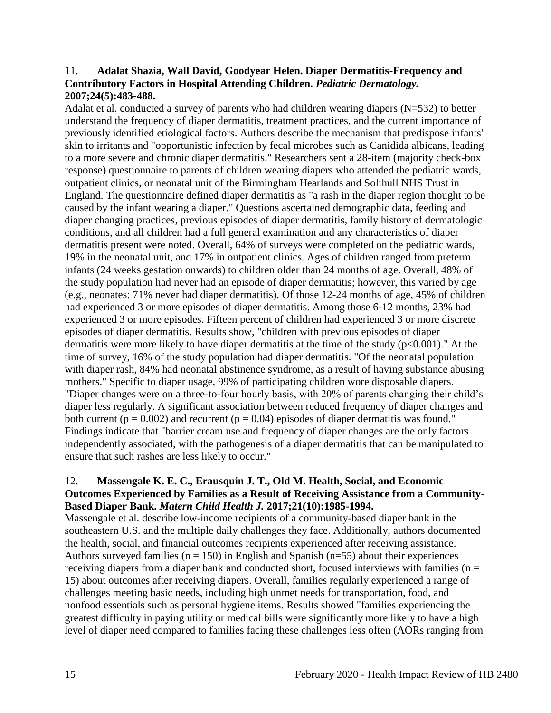## 11. **Adalat Shazia, Wall David, Goodyear Helen. Diaper Dermatitis-Frequency and Contributory Factors in Hospital Attending Children.** *Pediatric Dermatology.*  **2007;24(5):483-488.**

Adalat et al. conducted a survey of parents who had children wearing diapers (N=532) to better understand the frequency of diaper dermatitis, treatment practices, and the current importance of previously identified etiological factors. Authors describe the mechanism that predispose infants' skin to irritants and "opportunistic infection by fecal microbes such as Canidida albicans, leading to a more severe and chronic diaper dermatitis." Researchers sent a 28-item (majority check-box response) questionnaire to parents of children wearing diapers who attended the pediatric wards, outpatient clinics, or neonatal unit of the Birmingham Hearlands and Solihull NHS Trust in England. The questionnaire defined diaper dermatitis as "a rash in the diaper region thought to be caused by the infant wearing a diaper." Questions ascertained demographic data, feeding and diaper changing practices, previous episodes of diaper dermatitis, family history of dermatologic conditions, and all children had a full general examination and any characteristics of diaper dermatitis present were noted. Overall, 64% of surveys were completed on the pediatric wards, 19% in the neonatal unit, and 17% in outpatient clinics. Ages of children ranged from preterm infants (24 weeks gestation onwards) to children older than 24 months of age. Overall, 48% of the study population had never had an episode of diaper dermatitis; however, this varied by age (e.g., neonates: 71% never had diaper dermatitis). Of those 12-24 months of age, 45% of children had experienced 3 or more episodes of diaper dermatitis. Among those 6-12 months, 23% had experienced 3 or more episodes. Fifteen percent of children had experienced 3 or more discrete episodes of diaper dermatitis. Results show, "children with previous episodes of diaper dermatitis were more likely to have diaper dermatitis at the time of the study (p<0.001)." At the time of survey, 16% of the study population had diaper dermatitis. "Of the neonatal population with diaper rash, 84% had neonatal abstinence syndrome, as a result of having substance abusing mothers." Specific to diaper usage, 99% of participating children wore disposable diapers. "Diaper changes were on a three-to-four hourly basis, with 20% of parents changing their child's diaper less regularly. A significant association between reduced frequency of diaper changes and both current ( $p = 0.002$ ) and recurrent ( $p = 0.04$ ) episodes of diaper dermatitis was found." Findings indicate that "barrier cream use and frequency of diaper changes are the only factors independently associated, with the pathogenesis of a diaper dermatitis that can be manipulated to ensure that such rashes are less likely to occur."

## 12. **Massengale K. E. C., Erausquin J. T., Old M. Health, Social, and Economic Outcomes Experienced by Families as a Result of Receiving Assistance from a Community-Based Diaper Bank.** *Matern Child Health J.* **2017;21(10):1985-1994.**

Massengale et al. describe low-income recipients of a community-based diaper bank in the southeastern U.S. and the multiple daily challenges they face. Additionally, authors documented the health, social, and financial outcomes recipients experienced after receiving assistance. Authors surveyed families ( $n = 150$ ) in English and Spanish ( $n=55$ ) about their experiences receiving diapers from a diaper bank and conducted short, focused interviews with families ( $n =$ 15) about outcomes after receiving diapers. Overall, families regularly experienced a range of challenges meeting basic needs, including high unmet needs for transportation, food, and nonfood essentials such as personal hygiene items. Results showed "families experiencing the greatest difficulty in paying utility or medical bills were significantly more likely to have a high level of diaper need compared to families facing these challenges less often (AORs ranging from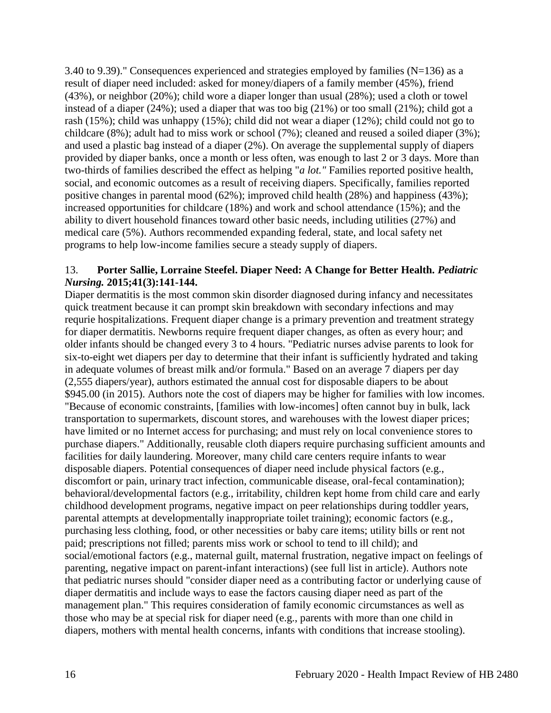3.40 to 9.39)." Consequences experienced and strategies employed by families  $(N=136)$  as a result of diaper need included: asked for money/diapers of a family member (45%), friend (43%), or neighbor (20%); child wore a diaper longer than usual (28%); used a cloth or towel instead of a diaper (24%); used a diaper that was too big (21%) or too small (21%); child got a rash (15%); child was unhappy (15%); child did not wear a diaper (12%); child could not go to childcare (8%); adult had to miss work or school (7%); cleaned and reused a soiled diaper (3%); and used a plastic bag instead of a diaper (2%). On average the supplemental supply of diapers provided by diaper banks, once a month or less often, was enough to last 2 or 3 days. More than two-thirds of families described the effect as helping "*a lot."* Families reported positive health, social, and economic outcomes as a result of receiving diapers. Specifically, families reported positive changes in parental mood (62%); improved child health (28%) and happiness (43%); increased opportunities for childcare (18%) and work and school attendance (15%); and the ability to divert household finances toward other basic needs, including utilities (27%) and medical care (5%). Authors recommended expanding federal, state, and local safety net programs to help low-income families secure a steady supply of diapers.

## 13. **Porter Sallie, Lorraine Steefel. Diaper Need: A Change for Better Health.** *Pediatric Nursing.* **2015;41(3):141-144.**

Diaper dermatitis is the most common skin disorder diagnosed during infancy and necessitates quick treatment because it can prompt skin breakdown with secondary infections and may requrie hospitalizations. Frequent diaper change is a primary prevention and treatment strategy for diaper dermatitis. Newborns require frequent diaper changes, as often as every hour; and older infants should be changed every 3 to 4 hours. "Pediatric nurses advise parents to look for six-to-eight wet diapers per day to determine that their infant is sufficiently hydrated and taking in adequate volumes of breast milk and/or formula." Based on an average 7 diapers per day (2,555 diapers/year), authors estimated the annual cost for disposable diapers to be about \$945.00 (in 2015). Authors note the cost of diapers may be higher for families with low incomes. "Because of economic constraints, [families with low-incomes] often cannot buy in bulk, lack transportation to supermarkets, discount stores, and warehouses with the lowest diaper prices; have limited or no Internet access for purchasing; and must rely on local convenience stores to purchase diapers." Additionally, reusable cloth diapers require purchasing sufficient amounts and facilities for daily laundering. Moreover, many child care centers require infants to wear disposable diapers. Potential consequences of diaper need include physical factors (e.g., discomfort or pain, urinary tract infection, communicable disease, oral-fecal contamination); behavioral/developmental factors (e.g., irritability, children kept home from child care and early childhood development programs, negative impact on peer relationships during toddler years, parental attempts at developmentally inappropriate toilet training); economic factors (e.g., purchasing less clothing, food, or other necessities or baby care items; utility bills or rent not paid; prescriptions not filled; parents miss work or school to tend to ill child); and social/emotional factors (e.g., maternal guilt, maternal frustration, negative impact on feelings of parenting, negative impact on parent-infant interactions) (see full list in article). Authors note that pediatric nurses should "consider diaper need as a contributing factor or underlying cause of diaper dermatitis and include ways to ease the factors causing diaper need as part of the management plan." This requires consideration of family economic circumstances as well as those who may be at special risk for diaper need (e.g., parents with more than one child in diapers, mothers with mental health concerns, infants with conditions that increase stooling).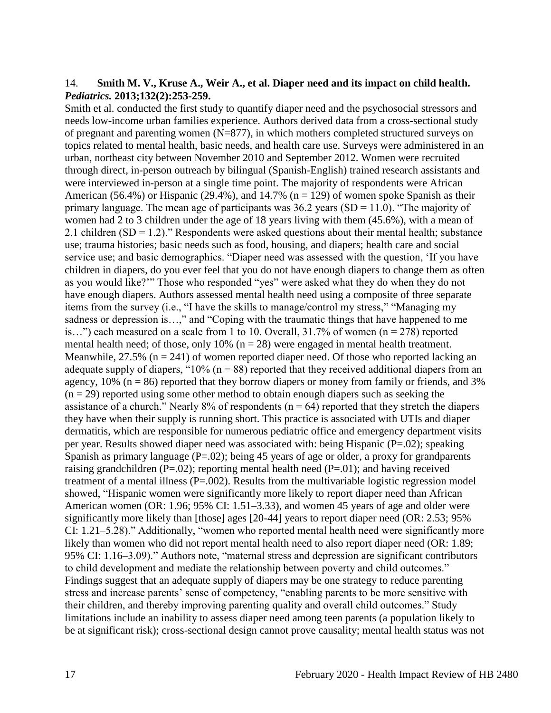#### 14. **Smith M. V., Kruse A., Weir A., et al. Diaper need and its impact on child health.**  *Pediatrics.* **2013;132(2):253-259.**

Smith et al. conducted the first study to quantify diaper need and the psychosocial stressors and needs low-income urban families experience. Authors derived data from a cross-sectional study of pregnant and parenting women (N=877), in which mothers completed structured surveys on topics related to mental health, basic needs, and health care use. Surveys were administered in an urban, northeast city between November 2010 and September 2012. Women were recruited through direct, in-person outreach by bilingual (Spanish-English) trained research assistants and were interviewed in-person at a single time point. The majority of respondents were African American (56.4%) or Hispanic (29.4%), and 14.7% ( $n = 129$ ) of women spoke Spanish as their primary language. The mean age of participants was  $36.2$  years (SD = 11.0). "The majority of women had 2 to 3 children under the age of 18 years living with them (45.6%), with a mean of 2.1 children  $(SD = 1.2)$ ." Respondents were asked questions about their mental health; substance use; trauma histories; basic needs such as food, housing, and diapers; health care and social service use; and basic demographics. "Diaper need was assessed with the question, 'If you have children in diapers, do you ever feel that you do not have enough diapers to change them as often as you would like?'" Those who responded "yes" were asked what they do when they do not have enough diapers. Authors assessed mental health need using a composite of three separate items from the survey (i.e., "I have the skills to manage/control my stress," "Managing my sadness or depression is…," and "Coping with the traumatic things that have happened to me is...") each measured on a scale from 1 to 10. Overall,  $31.7\%$  of women (n = 278) reported mental health need; of those, only 10% ( $n = 28$ ) were engaged in mental health treatment. Meanwhile,  $27.5\%$  (n = 241) of women reported diaper need. Of those who reported lacking an adequate supply of diapers, " $10\%$  (n = 88) reported that they received additional diapers from an agency,  $10\%$  ( $n = 86$ ) reported that they borrow diapers or money from family or friends, and 3%  $(n = 29)$  reported using some other method to obtain enough diapers such as seeking the assistance of a church." Nearly 8% of respondents ( $n = 64$ ) reported that they stretch the diapers they have when their supply is running short. This practice is associated with UTIs and diaper dermatitis, which are responsible for numerous pediatric office and emergency department visits per year. Results showed diaper need was associated with: being Hispanic (P=.02); speaking Spanish as primary language  $(P=.02)$ ; being 45 years of age or older, a proxy for grandparents raising grandchildren ( $P=.02$ ); reporting mental health need ( $P=.01$ ); and having received treatment of a mental illness (P=.002). Results from the multivariable logistic regression model showed, "Hispanic women were significantly more likely to report diaper need than African American women (OR: 1.96; 95% CI: 1.51–3.33), and women 45 years of age and older were significantly more likely than [those] ages [20-44] years to report diaper need (OR: 2.53; 95% CI: 1.21–5.28)." Additionally, "women who reported mental health need were significantly more likely than women who did not report mental health need to also report diaper need (OR: 1.89; 95% CI: 1.16–3.09)." Authors note, "maternal stress and depression are significant contributors to child development and mediate the relationship between poverty and child outcomes." Findings suggest that an adequate supply of diapers may be one strategy to reduce parenting stress and increase parents' sense of competency, "enabling parents to be more sensitive with their children, and thereby improving parenting quality and overall child outcomes." Study limitations include an inability to assess diaper need among teen parents (a population likely to be at significant risk); cross-sectional design cannot prove causality; mental health status was not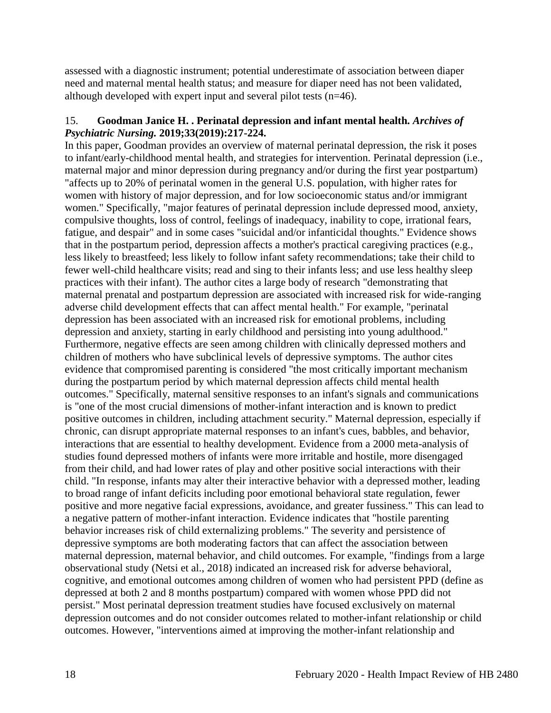assessed with a diagnostic instrument; potential underestimate of association between diaper need and maternal mental health status; and measure for diaper need has not been validated, although developed with expert input and several pilot tests (n=46).

## 15. **Goodman Janice H. . Perinatal depression and infant mental health.** *Archives of Psychiatric Nursing.* **2019;33(2019):217-224.**

In this paper, Goodman provides an overview of maternal perinatal depression, the risk it poses to infant/early-childhood mental health, and strategies for intervention. Perinatal depression (i.e., maternal major and minor depression during pregnancy and/or during the first year postpartum) "affects up to 20% of perinatal women in the general U.S. population, with higher rates for women with history of major depression, and for low socioeconomic status and/or immigrant women." Specifically, "major features of perinatal depression include depressed mood, anxiety, compulsive thoughts, loss of control, feelings of inadequacy, inability to cope, irrational fears, fatigue, and despair" and in some cases "suicidal and/or infanticidal thoughts." Evidence shows that in the postpartum period, depression affects a mother's practical caregiving practices (e.g., less likely to breastfeed; less likely to follow infant safety recommendations; take their child to fewer well-child healthcare visits; read and sing to their infants less; and use less healthy sleep practices with their infant). The author cites a large body of research "demonstrating that maternal prenatal and postpartum depression are associated with increased risk for wide-ranging adverse child development effects that can affect mental health." For example, "perinatal depression has been associated with an increased risk for emotional problems, including depression and anxiety, starting in early childhood and persisting into young adulthood." Furthermore, negative effects are seen among children with clinically depressed mothers and children of mothers who have subclinical levels of depressive symptoms. The author cites evidence that compromised parenting is considered "the most critically important mechanism during the postpartum period by which maternal depression affects child mental health outcomes." Specifically, maternal sensitive responses to an infant's signals and communications is "one of the most crucial dimensions of mother-infant interaction and is known to predict positive outcomes in children, including attachment security." Maternal depression, especially if chronic, can disrupt appropriate maternal responses to an infant's cues, babbles, and behavior, interactions that are essential to healthy development. Evidence from a 2000 meta-analysis of studies found depressed mothers of infants were more irritable and hostile, more disengaged from their child, and had lower rates of play and other positive social interactions with their child. "In response, infants may alter their interactive behavior with a depressed mother, leading to broad range of infant deficits including poor emotional behavioral state regulation, fewer positive and more negative facial expressions, avoidance, and greater fussiness." This can lead to a negative pattern of mother-infant interaction. Evidence indicates that "hostile parenting behavior increases risk of child externalizing problems." The severity and persistence of depressive symptoms are both moderating factors that can affect the association between maternal depression, maternal behavior, and child outcomes. For example, "findings from a large observational study (Netsi et al., 2018) indicated an increased risk for adverse behavioral, cognitive, and emotional outcomes among children of women who had persistent PPD (define as depressed at both 2 and 8 months postpartum) compared with women whose PPD did not persist." Most perinatal depression treatment studies have focused exclusively on maternal depression outcomes and do not consider outcomes related to mother-infant relationship or child outcomes. However, "interventions aimed at improving the mother-infant relationship and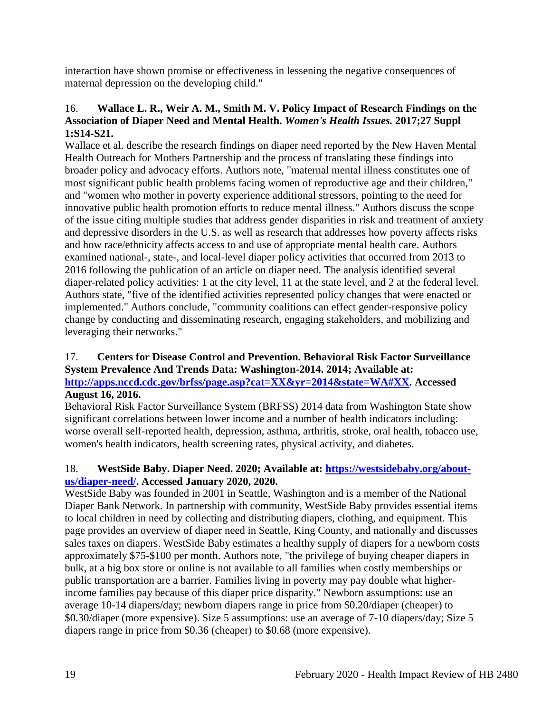interaction have shown promise or effectiveness in lessening the negative consequences of maternal depression on the developing child."

## 16. **Wallace L. R., Weir A. M., Smith M. V. Policy Impact of Research Findings on the Association of Diaper Need and Mental Health.** *Women's Health Issues.* **2017;27 Suppl 1:S14-S21.**

Wallace et al. describe the research findings on diaper need reported by the New Haven Mental Health Outreach for Mothers Partnership and the process of translating these findings into broader policy and advocacy efforts. Authors note, "maternal mental illness constitutes one of most significant public health problems facing women of reproductive age and their children," and "women who mother in poverty experience additional stressors, pointing to the need for innovative public health promotion efforts to reduce mental illness." Authors discuss the scope of the issue citing multiple studies that address gender disparities in risk and treatment of anxiety and depressive disorders in the U.S. as well as research that addresses how poverty affects risks and how race/ethnicity affects access to and use of appropriate mental health care. Authors examined national-, state-, and local-level diaper policy activities that occurred from 2013 to 2016 following the publication of an article on diaper need. The analysis identified several diaper-related policy activities: 1 at the city level, 11 at the state level, and 2 at the federal level. Authors state, "five of the identified activities represented policy changes that were enacted or implemented." Authors conclude, "community coalitions can effect gender-responsive policy change by conducting and disseminating research, engaging stakeholders, and mobilizing and leveraging their networks."

#### 17. **Centers for Disease Control and Prevention. Behavioral Risk Factor Surveillance System Prevalence And Trends Data: Washington-2014. 2014; Available at: [http://apps.nccd.cdc.gov/brfss/page.asp?cat=XX&yr=2014&state=WA#XX.](http://apps.nccd.cdc.gov/brfss/page.asp?cat=XX&yr=2014&state=WA#XX) Accessed**

## **August 16, 2016.**

Behavioral Risk Factor Surveillance System (BRFSS) 2014 data from Washington State show significant correlations between lower income and a number of health indicators including: worse overall self-reported health, depression, asthma, arthritis, stroke, oral health, tobacco use, women's health indicators, health screening rates, physical activity, and diabetes.

## 18. **WestSide Baby. Diaper Need. 2020; Available at: [https://westsidebaby.org/about](https://westsidebaby.org/about-us/diaper-need/)[us/diaper-need/.](https://westsidebaby.org/about-us/diaper-need/) Accessed January 2020, 2020.**

WestSide Baby was founded in 2001 in Seattle, Washington and is a member of the National Diaper Bank Network. In partnership with community, WestSide Baby provides essential items to local children in need by collecting and distributing diapers, clothing, and equipment. This page provides an overview of diaper need in Seattle, King County, and nationally and discusses sales taxes on diapers. WestSide Baby estimates a healthy supply of diapers for a newborn costs approximately \$75-\$100 per month. Authors note, "the privilege of buying cheaper diapers in bulk, at a big box store or online is not available to all families when costly memberships or public transportation are a barrier. Families living in poverty may pay double what higherincome families pay because of this diaper price disparity." Newborn assumptions: use an average 10-14 diapers/day; newborn diapers range in price from \$0.20/diaper (cheaper) to \$0.30/diaper (more expensive). Size 5 assumptions: use an average of 7-10 diapers/day; Size 5 diapers range in price from \$0.36 (cheaper) to \$0.68 (more expensive).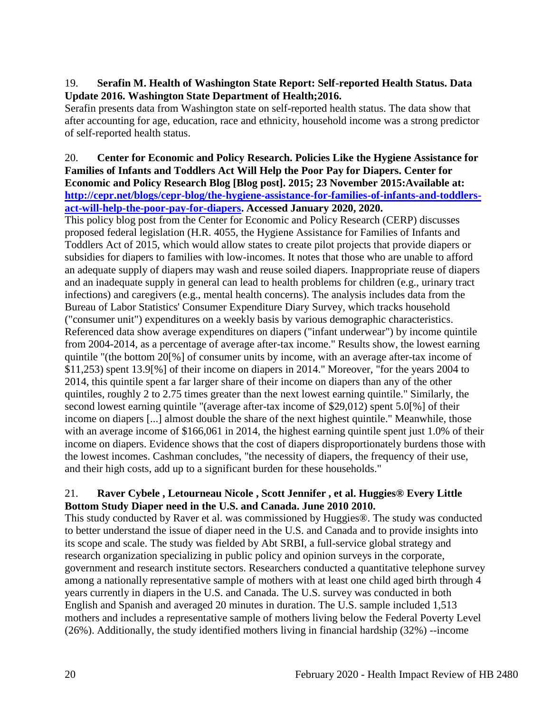## 19. **Serafin M. Health of Washington State Report: Self-reported Health Status. Data Update 2016. Washington State Department of Health;2016.**

Serafin presents data from Washington state on self-reported health status. The data show that after accounting for age, education, race and ethnicity, household income was a strong predictor of self-reported health status.

#### 20. **Center for Economic and Policy Research. Policies Like the Hygiene Assistance for Families of Infants and Toddlers Act Will Help the Poor Pay for Diapers. Center for Economic and Policy Research Blog [Blog post]. 2015; 23 November 2015:Available at: [http://cepr.net/blogs/cepr-blog/the-hygiene-assistance-for-families-of-infants-and-toddlers](http://cepr.net/blogs/cepr-blog/the-hygiene-assistance-for-families-of-infants-and-toddlers-act-will-help-the-poor-pay-for-diapers)[act-will-help-the-poor-pay-for-diapers.](http://cepr.net/blogs/cepr-blog/the-hygiene-assistance-for-families-of-infants-and-toddlers-act-will-help-the-poor-pay-for-diapers) Accessed January 2020, 2020.**

This policy blog post from the Center for Economic and Policy Research (CERP) discusses proposed federal legislation (H.R. 4055, the Hygiene Assistance for Families of Infants and Toddlers Act of 2015, which would allow states to create pilot projects that provide diapers or subsidies for diapers to families with low-incomes. It notes that those who are unable to afford an adequate supply of diapers may wash and reuse soiled diapers. Inappropriate reuse of diapers and an inadequate supply in general can lead to health problems for children (e.g., urinary tract infections) and caregivers (e.g., mental health concerns). The analysis includes data from the Bureau of Labor Statistics' Consumer Expenditure Diary Survey, which tracks household ("consumer unit") expenditures on a weekly basis by various demographic characteristics. Referenced data show average expenditures on diapers ("infant underwear") by income quintile from 2004-2014, as a percentage of average after-tax income." Results show, the lowest earning quintile "(the bottom 20[%] of consumer units by income, with an average after-tax income of \$11,253) spent 13.9[%] of their income on diapers in 2014." Moreover, "for the years 2004 to 2014, this quintile spent a far larger share of their income on diapers than any of the other quintiles, roughly 2 to 2.75 times greater than the next lowest earning quintile." Similarly, the second lowest earning quintile "(average after-tax income of \$29,012) spent 5.0[%] of their income on diapers [...] almost double the share of the next highest quintile." Meanwhile, those with an average income of \$166,061 in 2014, the highest earning quintile spent just 1.0% of their income on diapers. Evidence shows that the cost of diapers disproportionately burdens those with the lowest incomes. Cashman concludes, "the necessity of diapers, the frequency of their use, and their high costs, add up to a significant burden for these households."

# 21. **Raver Cybele , Letourneau Nicole , Scott Jennifer , et al. Huggies® Every Little Bottom Study Diaper need in the U.S. and Canada. June 2010 2010.**

This study conducted by Raver et al. was commissioned by Huggies®. The study was conducted to better understand the issue of diaper need in the U.S. and Canada and to provide insights into its scope and scale. The study was fielded by Abt SRBI, a full-service global strategy and research organization specializing in public policy and opinion surveys in the corporate, government and research institute sectors. Researchers conducted a quantitative telephone survey among a nationally representative sample of mothers with at least one child aged birth through 4 years currently in diapers in the U.S. and Canada. The U.S. survey was conducted in both English and Spanish and averaged 20 minutes in duration. The U.S. sample included 1,513 mothers and includes a representative sample of mothers living below the Federal Poverty Level (26%). Additionally, the study identified mothers living in financial hardship (32%) --income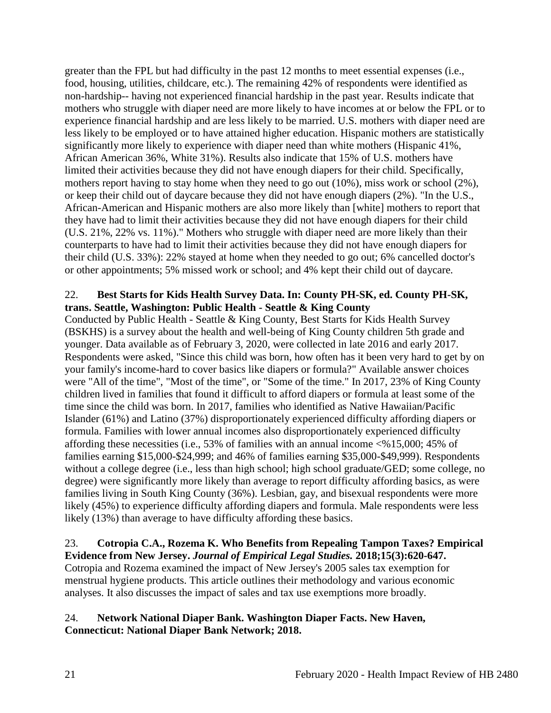greater than the FPL but had difficulty in the past 12 months to meet essential expenses (i.e., food, housing, utilities, childcare, etc.). The remaining 42% of respondents were identified as non-hardship-- having not experienced financial hardship in the past year. Results indicate that mothers who struggle with diaper need are more likely to have incomes at or below the FPL or to experience financial hardship and are less likely to be married. U.S. mothers with diaper need are less likely to be employed or to have attained higher education. Hispanic mothers are statistically significantly more likely to experience with diaper need than white mothers (Hispanic 41%, African American 36%, White 31%). Results also indicate that 15% of U.S. mothers have limited their activities because they did not have enough diapers for their child. Specifically, mothers report having to stay home when they need to go out (10%), miss work or school (2%), or keep their child out of daycare because they did not have enough diapers (2%). "In the U.S., African-American and Hispanic mothers are also more likely than [white] mothers to report that they have had to limit their activities because they did not have enough diapers for their child (U.S. 21%, 22% vs. 11%)." Mothers who struggle with diaper need are more likely than their counterparts to have had to limit their activities because they did not have enough diapers for their child (U.S. 33%): 22% stayed at home when they needed to go out; 6% cancelled doctor's or other appointments; 5% missed work or school; and 4% kept their child out of daycare.

## 22. **Best Starts for Kids Health Survey Data. In: County PH-SK, ed. County PH-SK, trans. Seattle, Washington: Public Health - Seattle & King County**

Conducted by Public Health - Seattle & King County, Best Starts for Kids Health Survey (BSKHS) is a survey about the health and well-being of King County children 5th grade and younger. Data available as of February 3, 2020, were collected in late 2016 and early 2017. Respondents were asked, "Since this child was born, how often has it been very hard to get by on your family's income-hard to cover basics like diapers or formula?" Available answer choices were "All of the time", "Most of the time", or "Some of the time." In 2017, 23% of King County children lived in families that found it difficult to afford diapers or formula at least some of the time since the child was born. In 2017, families who identified as Native Hawaiian/Pacific Islander (61%) and Latino (37%) disproportionately experienced difficulty affording diapers or formula. Families with lower annual incomes also disproportionately experienced difficulty affording these necessities (i.e., 53% of families with an annual income <%15,000; 45% of families earning \$15,000-\$24,999; and 46% of families earning \$35,000-\$49,999). Respondents without a college degree (i.e., less than high school; high school graduate/GED; some college, no degree) were significantly more likely than average to report difficulty affording basics, as were families living in South King County (36%). Lesbian, gay, and bisexual respondents were more likely (45%) to experience difficulty affording diapers and formula. Male respondents were less likely (13%) than average to have difficulty affording these basics.

# 23. **Cotropia C.A., Rozema K. Who Benefits from Repealing Tampon Taxes? Empirical Evidence from New Jersey.** *Journal of Empirical Legal Studies.* **2018;15(3):620-647.**

Cotropia and Rozema examined the impact of New Jersey's 2005 sales tax exemption for menstrual hygiene products. This article outlines their methodology and various economic analyses. It also discusses the impact of sales and tax use exemptions more broadly.

## 24. **Network National Diaper Bank. Washington Diaper Facts. New Haven, Connecticut: National Diaper Bank Network; 2018.**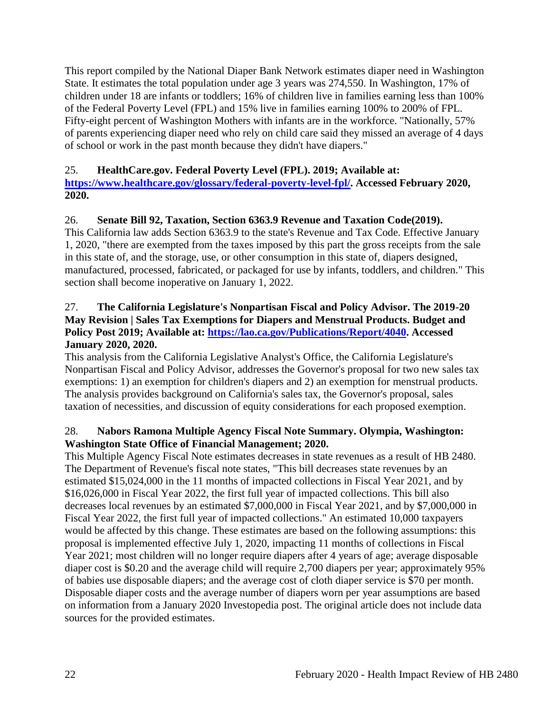This report compiled by the National Diaper Bank Network estimates diaper need in Washington State. It estimates the total population under age 3 years was 274,550. In Washington, 17% of children under 18 are infants or toddlers; 16% of children live in families earning less than 100% of the Federal Poverty Level (FPL) and 15% live in families earning 100% to 200% of FPL. Fifty-eight percent of Washington Mothers with infants are in the workforce. "Nationally, 57% of parents experiencing diaper need who rely on child care said they missed an average of 4 days of school or work in the past month because they didn't have diapers."

# 25. **HealthCare.gov. Federal Poverty Level (FPL). 2019; Available at:**

**[https://www.healthcare.gov/glossary/federal-poverty-level-fpl/.](https://www.healthcare.gov/glossary/federal-poverty-level-fpl/) Accessed February 2020, 2020.**

## 26. **Senate Bill 92, Taxation, Section 6363.9 Revenue and Taxation Code(2019).**

This California law adds Section 6363.9 to the state's Revenue and Tax Code. Effective January 1, 2020, "there are exempted from the taxes imposed by this part the gross receipts from the sale in this state of, and the storage, use, or other consumption in this state of, diapers designed, manufactured, processed, fabricated, or packaged for use by infants, toddlers, and children." This section shall become inoperative on January 1, 2022.

## 27. **The California Legislature's Nonpartisan Fiscal and Policy Advisor. The 2019-20 May Revision | Sales Tax Exemptions for Diapers and Menstrual Products. Budget and Policy Post 2019; Available at: [https://lao.ca.gov/Publications/Report/4040.](https://lao.ca.gov/Publications/Report/4040) Accessed January 2020, 2020.**

This analysis from the California Legislative Analyst's Office, the California Legislature's Nonpartisan Fiscal and Policy Advisor, addresses the Governor's proposal for two new sales tax exemptions: 1) an exemption for children's diapers and 2) an exemption for menstrual products. The analysis provides background on California's sales tax, the Governor's proposal, sales taxation of necessities, and discussion of equity considerations for each proposed exemption.

## 28. **Nabors Ramona Multiple Agency Fiscal Note Summary. Olympia, Washington: Washington State Office of Financial Management; 2020.**

This Multiple Agency Fiscal Note estimates decreases in state revenues as a result of HB 2480. The Department of Revenue's fiscal note states, "This bill decreases state revenues by an estimated \$15,024,000 in the 11 months of impacted collections in Fiscal Year 2021, and by \$16,026,000 in Fiscal Year 2022, the first full year of impacted collections. This bill also decreases local revenues by an estimated \$7,000,000 in Fiscal Year 2021, and by \$7,000,000 in Fiscal Year 2022, the first full year of impacted collections." An estimated 10,000 taxpayers would be affected by this change. These estimates are based on the following assumptions: this proposal is implemented effective July 1, 2020, impacting 11 months of collections in Fiscal Year 2021; most children will no longer require diapers after 4 years of age; average disposable diaper cost is \$0.20 and the average child will require 2,700 diapers per year; approximately 95% of babies use disposable diapers; and the average cost of cloth diaper service is \$70 per month. Disposable diaper costs and the average number of diapers worn per year assumptions are based on information from a January 2020 Investopedia post. The original article does not include data sources for the provided estimates.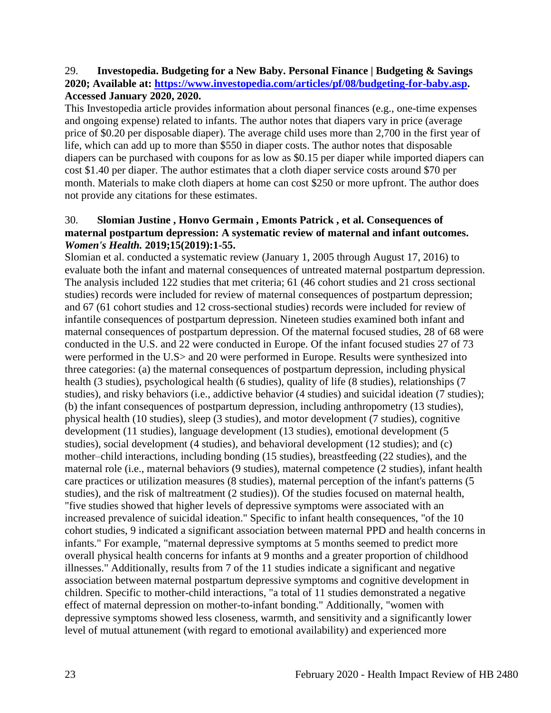#### 29. **Investopedia. Budgeting for a New Baby. Personal Finance | Budgeting & Savings 2020; Available at: [https://www.investopedia.com/articles/pf/08/budgeting-for-baby.asp.](https://www.investopedia.com/articles/pf/08/budgeting-for-baby.asp) Accessed January 2020, 2020.**

This Investopedia article provides information about personal finances (e.g., one-time expenses and ongoing expense) related to infants. The author notes that diapers vary in price (average price of \$0.20 per disposable diaper). The average child uses more than 2,700 in the first year of life, which can add up to more than \$550 in diaper costs. The author notes that disposable diapers can be purchased with coupons for as low as \$0.15 per diaper while imported diapers can cost \$1.40 per diaper. The author estimates that a cloth diaper service costs around \$70 per month. Materials to make cloth diapers at home can cost \$250 or more upfront. The author does not provide any citations for these estimates.

#### 30. **Slomian Justine , Honvo Germain , Emonts Patrick , et al. Consequences of maternal postpartum depression: A systematic review of maternal and infant outcomes.**  *Women's Health.* **2019;15(2019):1-55.**

Slomian et al. conducted a systematic review (January 1, 2005 through August 17, 2016) to evaluate both the infant and maternal consequences of untreated maternal postpartum depression. The analysis included 122 studies that met criteria; 61 (46 cohort studies and 21 cross sectional studies) records were included for review of maternal consequences of postpartum depression; and 67 (61 cohort studies and 12 cross-sectional studies) records were included for review of infantile consequences of postpartum depression. Nineteen studies examined both infant and maternal consequences of postpartum depression. Of the maternal focused studies, 28 of 68 were conducted in the U.S. and 22 were conducted in Europe. Of the infant focused studies 27 of 73 were performed in the U.S> and 20 were performed in Europe. Results were synthesized into three categories: (a) the maternal consequences of postpartum depression, including physical health (3 studies), psychological health (6 studies), quality of life (8 studies), relationships (7 studies), and risky behaviors (i.e., addictive behavior (4 studies) and suicidal ideation (7 studies); (b) the infant consequences of postpartum depression, including anthropometry (13 studies), physical health (10 studies), sleep (3 studies), and motor development (7 studies), cognitive development (11 studies), language development (13 studies), emotional development (5 studies), social development (4 studies), and behavioral development (12 studies); and (c) mother–child interactions, including bonding (15 studies), breastfeeding (22 studies), and the maternal role (i.e., maternal behaviors (9 studies), maternal competence (2 studies), infant health care practices or utilization measures (8 studies), maternal perception of the infant's patterns (5 studies), and the risk of maltreatment (2 studies)). Of the studies focused on maternal health, "five studies showed that higher levels of depressive symptoms were associated with an increased prevalence of suicidal ideation." Specific to infant health consequences, "of the 10 cohort studies, 9 indicated a significant association between maternal PPD and health concerns in infants." For example, "maternal depressive symptoms at 5 months seemed to predict more overall physical health concerns for infants at 9 months and a greater proportion of childhood illnesses." Additionally, results from 7 of the 11 studies indicate a significant and negative association between maternal postpartum depressive symptoms and cognitive development in children. Specific to mother-child interactions, "a total of 11 studies demonstrated a negative effect of maternal depression on mother-to-infant bonding." Additionally, "women with depressive symptoms showed less closeness, warmth, and sensitivity and a significantly lower level of mutual attunement (with regard to emotional availability) and experienced more